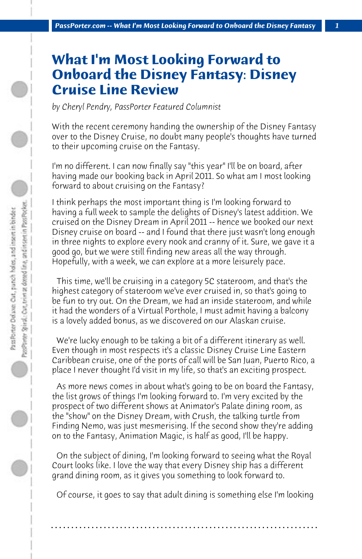## **What I'm Most Looking Forward to Onboard the Disney Fantasy: Disney Cruise Line Review**

*by Cheryl Pendry, PassPorter Featured Columnist*

With the recent ceremony handing the ownership of the Disney Fantasy over to the Disney Cruise, no doubt many people's thoughts have turned to their upcoming cruise on the Fantasy.

I'm no different. I can now finally say "this year" I'll be on board, after having made our booking back in April 2011. So what am I most looking forward to about cruising on the Fantasy?

I think perhaps the most important thing is I'm looking forward to having a full week to sample the delights of Disney's latest addition. We cruised on the Disney Dream in April 2011 -- hence we booked our next Disney cruise on board -- and I found that there just wasn't long enough in three nights to explore every nook and cranny of it. Sure, we gave it a good go, but we were still finding new areas all the way through. Hopefully, with a week, we can explore at a more leisurely pace.

 This time, we'll be cruising in a category 5C stateroom, and that's the highest category of stateroom we've ever cruised in, so that's going to be fun to try out. On the Dream, we had an inside stateroom, and while it had the wonders of a Virtual Porthole, I must admit having a balcony is a lovely added bonus, as we discovered on our Alaskan cruise.

 We're lucky enough to be taking a bit of a different itinerary as well. Even though in most respects it's a classic Disney Cruise Line Eastern Caribbean cruise, one of the ports of call will be San Juan, Puerto Rico, a place I never thought I'd visit in my life, so that's an exciting prospect.

 As more news comes in about what's going to be on board the Fantasy, the list grows of things I'm looking forward to. I'm very excited by the prospect of two different shows at Animator's Palate dining room, as the "show" on the Disney Dream, with Crush, the talking turtle from Finding Nemo, was just mesmerising. If the second show they're adding on to the Fantasy, Animation Magic, is half as good, I'll be happy.

 On the subject of dining, I'm looking forward to seeing what the Royal Court looks like. I love the way that every Disney ship has a different grand dining room, as it gives you something to look forward to.

 Of course, it goes to say that adult dining is something else I'm looking

**. . . . . . . . . . . . . . . . . . . . . . . . . . . . . . . . . . . . . . . . . . . . . . . . . . . . . . . . . . . . . . . . . .**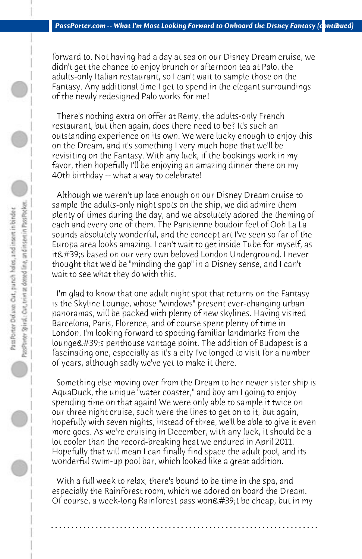forward to. Not having had a day at sea on our Disney Dream cruise, we didn't get the chance to enjoy brunch or afternoon tea at Palo, the adults-only Italian restaurant, so I can't wait to sample those on the Fantasy. Any additional time I get to spend in the elegant surroundings of the newly redesigned Palo works for me!

 There's nothing extra on offer at Remy, the adults-only French restaurant, but then again, does there need to be? It's such an outstanding experience on its own. We were lucky enough to enjoy this on the Dream, and it's something I very much hope that we'll be revisiting on the Fantasy. With any luck, if the bookings work in my favor, then hopefully I'll be enjoying an amazing dinner there on my 40th birthday -- what a way to celebrate!

 Although we weren't up late enough on our Disney Dream cruise to sample the adults-only night spots on the ship, we did admire them plenty of times during the day, and we absolutely adored the theming of each and every one of them. The Parisienne boudoir feel of Ooh La La sounds absolutely wonderful, and the concept art I've seen so far of the Europa area looks amazing. I can't wait to get inside Tube for myself, as it's based on our very own beloved London Underground. I never thought that we'd be "minding the gap" in a Disney sense, and I can't wait to see what they do with this.

 I'm glad to know that one adult night spot that returns on the Fantasy is the Skyline Lounge, whose "windows" present ever-changing urban panoramas, will be packed with plenty of new skylines. Having visited Barcelona, Paris, Florence, and of course spent plenty of time in London, I'm looking forward to spotting familiar landmarks from the lounge's penthouse vantage point. The addition of Budapest is a fascinating one, especially as it's a city I've longed to visit for a number of years, although sadly we've yet to make it there.

 Something else moving over from the Dream to her newer sister ship is AquaDuck, the unique "water coaster," and boy am I going to enjoy spending time on that again! We were only able to sample it twice on our three night cruise, such were the lines to get on to it, but again, hopefully with seven nights, instead of three, we'll be able to give it even more goes. As we're cruising in December, with any luck, it should be a lot cooler than the record-breaking heat we endured in April 2011. Hopefully that will mean I can finally find space the adult pool, and its wonderful swim-up pool bar, which looked like a great addition.

 With a full week to relax, there's bound to be time in the spa, and especially the Rainforest room, which we adored on board the Dream. Of course, a week-long Rainforest pass won $\&\#39$ ;t be cheap, but in my

**. . . . . . . . . . . . . . . . . . . . . . . . . . . . . . . . . . . . . . . . . . . . . . . . . . . . . . . . . . . . . . . . . .**